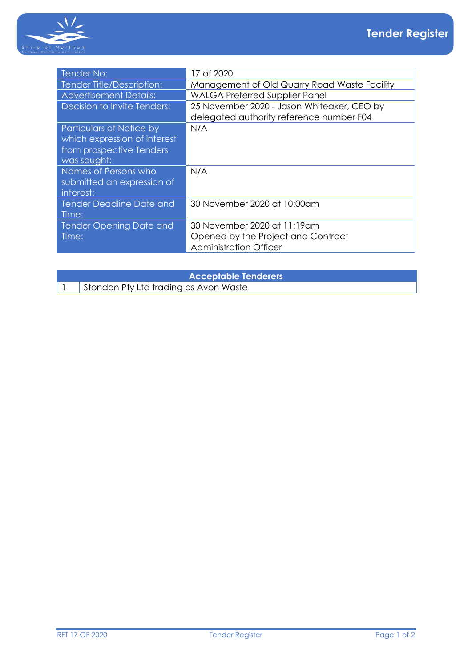

| Tender No:                      | 17 of 2020                                   |
|---------------------------------|----------------------------------------------|
| Tender Title/Description:       | Management of Old Quarry Road Waste Facility |
| <b>Advertisement Details:</b>   | <b>WALGA Preferred Supplier Panel</b>        |
| Decision to Invite Tenders:     | 25 November 2020 - Jason Whiteaker, CEO by   |
|                                 | delegated authority reference number F04     |
| Particulars of Notice by        | N/A                                          |
| which expression of interest    |                                              |
| from prospective Tenders        |                                              |
| was sought:                     |                                              |
| Names of Persons who            | N/A                                          |
| submitted an expression of      |                                              |
| interest:                       |                                              |
| <b>Tender Deadline Date and</b> | 30 November 2020 at 10:00am                  |
| Time:                           |                                              |
| Tender Opening Date and         | 30 November 2020 at 11:19am                  |
| Time:                           | Opened by the Project and Contract           |
|                                 | <b>Administration Officer</b>                |
|                                 |                                              |

| <b>Acceptable Tenderers</b> |                                       |  |
|-----------------------------|---------------------------------------|--|
|                             | Stondon Pty Ltd trading as Avon Waste |  |